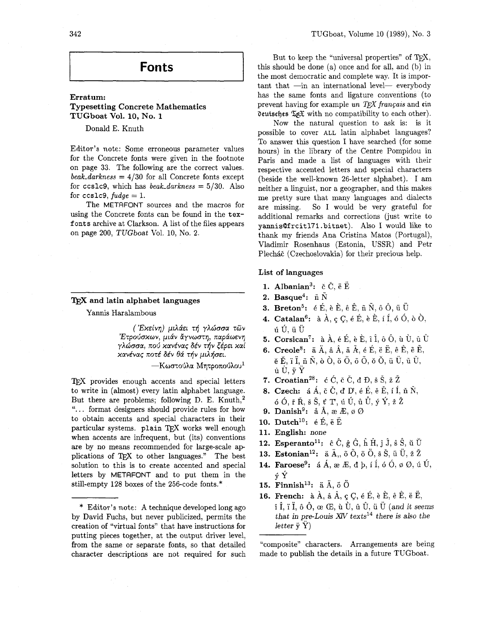# **Fonts**

# Erratum: Typesetting Concrete Mathematics TUGboat Vol. **10,** No. **1**

Donald E. Knuth

Editor's note: Some erroneous parameter values for the Concrete fonts were given in the footnote on page **33.** The following are the correct values.  $\textit{beak\_darkness} = 4/30$  for all Concrete fonts except for ccslc9, which has *beak-darkness* = 5/30. Also for ccs1c9,  $fudge = 1$ .

The METAFONT sources and the macros for using the Concrete fonts can be found in the **tex**fonts archive at Clarkson. A list of the files appears on page 200, TUGboat Vol. 10, No. 2.

# T<sub>F</sub>X and latin alphabet languages

Yannis Haralambous

( Έχείνη) μιλάει τή γλώσσα των 'Ετρούσκων, μιάν άγνωστη, παράωενη γλώσσα, πού κανένας δέν τήν ξέρει καί κανένας ποτέ δέν θά τήν μιλήσει.

—Κωστούλα Μητροπούλου $^1$ 

TEX provides enough accents and special letters to write in (almost) every latin alphabet language. But there are problems; following D. E. Knuth, $^2$ ". . . format designers should provide rules for how to obtain accents and special characters in their particular systems. plain TFX works well enough when accents are infrequent, but (its) conventions are by no means recommended for large-scale ap plications of TEX to other languages." The best solution to this is to create accented and special letters by METAFONT and to put them in the still-empty 128 boxes of the 256-code fonts.\*

But to keep the "universal properties" of  $T<sub>F</sub>X$ , this should be done (a) once and for all, and (b) in the most democratic and complete way. It is impor $tant that -in an international level - every body$ has the same fonts and ligature conventions (to the most democratic and complete way. It is important that  $\frac{1}{\text{min}}$  an international level— everybody has the same fonts and ligature conventions (to prevent having for example *un TEX français* and ein deutsches  $\mathcal$ **deutsches**  $\mathfrak{F}(\mathfrak{F})$  **with no compatibility to each other).** 

Now the natural question to ask is: is it possible to cover ALL latin alphabet languages? To answer this question I have searched (for some hours) in the library of the Centre Pompidou in Paris and made a list of languages with their respective accented letters and special characters (beside the well-known 26-letter alphabet). I am neither a linguist, nor a geographer, and this makes me pretty sure that many languages and dialects are missing. So I would be very grateful for additional remarks and corrections (just write to **yannisQfrcitl7l.bitnet).** Also I would like to thank my fiiends Ana Cristina Matos (Portugal), Vladimir Rosenhaus (Estonia, USSR) and Petr Plecháč (Czechoslovakia) for their precious help.

# List of languages

- 1. Albanian<sup>3</sup>:  $\check{c}$   $\check{C}$ ,  $\check{e}$   $\check{E}$
- 2. Basque<sup>4</sup>:  $\tilde{n} \tilde{N}$
- **3. Breton**<sup>5</sup>:  $\acute{\textbf{e}}$  **E**,  $\acute{\textbf{e}}$  **E**,  $\acute{\textbf{e}}$  **E**,  $\tilde{\textbf{n}}$  **N**,  $\acute{\textbf{o}}$  **O**,  $\ddot{\textbf{u}}$  **U**
- **4. Catalan<sup>6</sup>:**  $\hat{a}$   $\hat{A}$ ,  $\hat{q}$   $\hat{C}$ ,  $\hat{e}$   $\hat{E}$ ,  $\hat{e}$   $\hat{E}$ ,  $\hat{i}$   $\hat{I}$ ,  $\hat{o}$   $\hat{O}$ ,  $\hat{o}$   $\hat{O}$ , liu,iiu
- 5. Corsican<sup>7</sup>: à  $\hat{A}$ , é É, è È, î Î, ô Ô, ù Ù, û Û
- **6.** Creole8: **ii** A, B A, 5 **k, 6** E, **6** E, **C** E, *6* E,  $E_{\tilde{p}}$ ,  $\tilde{p}$   $\tilde{H}$ ,  $\tilde{p}$   $\tilde{N}$ ,  $\tilde{p}$   $\tilde{Q}$ ,  $\tilde{q}$   $\tilde{Q}$ ,  $\tilde{Q}$ ,  $\tilde{Q}$ ,  $\tilde{Q}$ ,  $\tilde{Q}$ ,  $\tilde{W}$ ,  $\tilde{W}$ ,  $\tilde{W}$ ,  $\tilde{W}$ ,  $\dot{\mathbf{u}}$   $\dot{\mathbf{U}}$ ,  $\ddot{\mathbf{v}}$   $\ddot{\mathbf{Y}}$
- 7. Croatian<sup>28</sup>:  $\acute{c}$   $\acute{c}$ ,  $\acute{c}$   $\acute{c}$ ,  $\acute{d}$   $\acute{D}$ ,  $\acute{s}$   $\acute{S}$ ,  $\acute{z}$   $\acute{Z}$
- 8. Czech: **B** A, **i:** C, d IY, **6 E, 1! 8,** i f, 6 N, ó Ó, ř Ř, š Š, ť T, ú Ú, ů Ů, ý Ý, ž Ž
- 9. Danish<sup>9</sup>:  $\hat{a}$  Å,  $\hat{a}$  Æ,  $\hat{\phi}$  Ø
- 10. Dutch<sup>10</sup>:  $\acute{e}$   $\acute{E}$ ,  $\ddot{e}$   $\ddot{E}$
- **11.** English: none
- **12. Esperanto**<sup>11</sup>:  $\hat{c}$   $\hat{C}$ ,  $\hat{g}$   $\hat{G}$ ,  $\hat{h}$   $\hat{H}$ ,  $\hat{j}$ ,  $\hat{s}$   $\hat{S}$ ,  $\hat{u}$   $\hat{U}$
- **13. Estonian**<sup>12</sup>:  $\ddot{a}$   $\ddot{A}$ ,,  $\ddot{o}$   $\ddot{O}$ ,  $\ddot{o}$   $\ddot{O}$ ,  $\ddot{s}$   $\ddot{S}$ ,  $\ddot{u}$   $\ddot{U}$ ,  $\ddot{z}$   $\ddot{Z}$
- **14. Faroese**<sup>9</sup>: **a**  $\hat{A}$ ,  $\hat{B}$   $\hat{E}$ ,  $\hat{d}$   $\hat{b}$ ,  $\hat{i}$   $\hat{I}$ ,  $\hat{o}$   $\hat{O}$ ,  $\hat{\phi}$   $\hat{O}$ ,  $\hat{u}$   $\hat{U}$ , **y Y**
- **15. Finnish**<sup>13</sup>:  $\ddot{a}$   $\ddot{A}$ ,  $\ddot{o}$   $\ddot{O}$
- **16. French:**  $\hat{a}$   $\hat{A}$ ,  $\hat{a}$   $\hat{A}$ ,  $\hat{c}$   $\hat{C}$ ,  $\hat{e}$   $\hat{E}$ ,  $\hat{e}$   $\hat{E}$ ,  $\hat{e}$   $\hat{E}$ ,  $\hat{e}$   $\hat{E}$ ,  $\hat{i}$ ,  $\hat{i}$ ,  $\hat{i}$ ,  $\hat{j}$ ,  $\hat{o}$ ,  $\hat{o}$ ,  $\hat{c}$ ,  $\hat{c}$ ,  $\hat{u}$ ,  $\hat{U}$ ,  $\hat{u}$ ,  $\hat{U}$ ,  $\hat{u}$ ,  $\hat{U}$  (and it seems that in pre-Louis  $X_V$  texts<sup>14</sup> there is also the letter  $\ddot{y}$   $\dddot{Y}$ )

"composite" characters. Arrangements are being made to publish the details in a future TUGboat.

<sup>\*</sup> Editor's note: A technique developed long ago by David Fuchs, but never publicized, permits the creation of "virtual fonts" that have instructions for putting pieces together, at the output driver level, from the same or separate fonts, so that detailed character descriptions are not required for such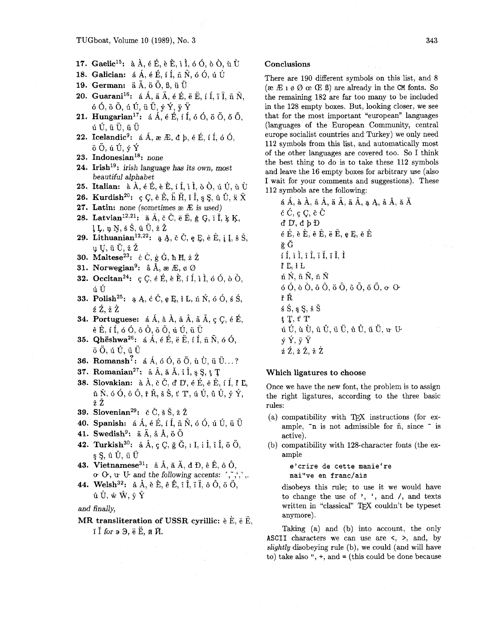# TUGboat, Volume 10 (1989), No. 3

- **17.** Gaelic<sup>15</sup>:  $\hat{a}$ ,  $\hat{A}$ ,  $\hat{e}$ ,  $\hat{E}$ ,  $\hat{e}$ ,  $\hat{E}$ ,  $\hat{i}$ ,  $\hat{I}$ ,  $\hat{o}$ ,  $\hat{o}$ ,  $\hat{o}$ ,  $\hat{o}$ ,  $\hat{u}$ ,  $\hat{U}$
- **18. Galician:**  $\acute{a} A$ ,  $\acute{e} E$ ,  $\acute{i} I$ ,  $\tilde{n} \tilde{N}$ ,  $\acute{o} O$ ,  $\acute{u} U$ <br>**19. German:**  $\ddot{a} A$ ,  $\ddot{o} O$ ,  $B$ ,  $\ddot{u} U$
- 
- **20. Guarani16:** *6* A, 5 A, **6** E, e E, i f, Y I, fi N,  $6\,\overline{0},\overline{6}\,\overline{0},\overline{u}\,\overline{0},\overline{u}\,\overline{0},\overline{v}\,\overline{Y},\overline{v}\,\overline{Y}$
- **21. Hungarian<sup>17</sup>: a**  $\hat{A}$ ,  $\hat{e}$  **E**, i  $\hat{I}$ ,  $\hat{o}$   $\hat{o}$ ,  $\hat{o}$   $\hat{o}$ ,  $\hat{o}$   $\hat{o}$ ,  $\hat{o}$  i,  $\hat{o}$  i,  $\hat{U}$ ,  $\hat{U}$ ,  $\hat{U}$
- **22.** Icelandic<sup>9</sup>:  $\acute{a}$   $\acute{A}$ ,  $\acute{a}$   $\acute{E}$ ,  $\acute{d}$   $\acute{b}$ ,  $\acute{e}$   $\acute{E}$ ,  $\acute{i}$   $\acute{i}$ ,  $\acute{0}$   $\acute{0}$ ,  $\ddot{o}$   $\ddot{o}$ .  $\acute{u}$   $\acute{v}$ .  $\acute{v}$   $\acute{Y}$
- **23. Indonesian18:** none
- 24. Irish<sup>19</sup>: irish language has its own, most beautiful alphabet
- **25. Italian:**  $\hat{a}$ ,  $\hat{A}$ ,  $\hat{e}$ ,  $\hat{E}$ ,  $\hat{e}$ ,  $\hat{E}$ ,  $\hat{i}$ ,  $\hat{i}$ ,  $\hat{i}$ ,  $\hat{b}$ ,  $\hat{O}$ ,  $\hat{u}$ ,  $\hat{U}$ ,  $\hat{u}$ ,  $\hat{U}$
- **26. Kurdish<sup>20</sup>:** *ç* $C$ **,**  $\hat{e}$  $\hat{E}$ **,**  $\hat{h}$  $\hat{H}$ **,**  $\hat{i}$  $\hat{I}$ **,**  $s$  $S$ **,**  $\hat{u}$  $\hat{U}$ **,**  $\hat{x}$  $\hat{X}$
- **27. Latin:** none (sometimes  $x \notin \mathbb{R}$  is used)
- **28. Latvian**<sup>12,21</sup>:  $\bar{a}$   $\bar{A}$ ,  $\bar{c}$   $\tilde{C}$ ,  $\bar{e}$   $\tilde{E}$ ,  $\phi$   $G$ ,  $\bar{1}$ ,  $\bar{I}$ ,  $\bar{k}$   $K$ ,  $1 L$ ,  $p N$ , š Š, ū Ū, ž Ž
- **29.** Lithuanian<sup>12,22</sup>:  $\alpha$  A,  $\check{c}$  C,  $\theta$  E,  $\check{e}$  E,  $\check{y}$  I,  $\check{s}$  S, u U, ū Ū, ž Ž
- **30.** Maltese<sup>23</sup>:  $\dot{c}$   $\dot{C}$ ,  $\dot{g}$   $\dot{G}$ ,  $\dot{h}$  H,  $\dot{z}$   $\dot{Z}$
- **31.** Norwegian<sup>9</sup>:  $\hat{a} \hat{A}$ ,  $\hat{a} \in \mathbb{E}$ ,  $\emptyset$   $\emptyset$
- **32.** Occitan<sup>24</sup>:  $C \subset C$ ,  $\acute{e}E$ ,  $\grave{E}$ ,  $\acute{E}$ ,  $\acute{I}$ ,  $\acute{I}$ ,  $\grave{I}$ ,  $\acute{O}$ ,  $\grave{O}$ ,  $\grave{O}$ , *6* **u**
- **33. Polishz5: B A, C** C, **e** *Q, 1* **L,** ri N, 6 0, *6 S,*   $\acute{\text{z}}$   $\acute{\text{z}}$ ,  $\dot{\mathrm{z}}$   $\dot{\mathrm{z}}$
- **34. Portuguese:**  $\acute{a}$   $\acute{A}$ ,  $\grave{a}$   $\acute{A}$ ,  $\acute{a}$   $\acute{A}$ ,  $\acute{a}$ ,  $\acute{A}$ ,  $\acute{a}$ ,  $\acute{A}$ ,  $\acute{c}$ ,  $\acute{c}$ ,  $\acute{e}$ ,  $\acute{E}$ ,  $\hat{\mathbf{e}}$   $\hat{\mathbf{E}}$ , í Í, ó Ó, ô Ô, õ Õ, ú Ú, ü Ü
- **35. Qhëshwa<sup>26</sup>: a**  $\vec{A}$ ,  $\vec{e}$  **E**,  $\vec{e}$ ,  $\vec{e}$ ,  $\vec{f}$ ,  $\vec{h}$ ,  $\vec{n}$ ,  $\vec{o}$ ,  $\vec{O}$ ,  $\vec{o}$ ,  $\vec{o}$ ,  $\vec{o}$ ,  $\vec{u}$ ,  $\vec{U}$  $\ddot{\text{o}}$   $\ddot{\text{o}}$ ,  $\dot{\text{u}}$   $\ddot{\text{u}}$ ,  $\ddot{\text{u}}$   $\ddot{\text{u}}$ <br> **36. Romansh<sup>2</sup>: a**  $\dot{\text{A}}$ ,  $\dot{\text{o}}$   $\dot{\text{O}}$ ,  $\ddot{\text{o}}$ ,  $\ddot{\text{u}}$   $\ddot{\text{u}}$ ,  $\ddot{\text{u}}$   $\ddot{\text{u}}$ ...?
- 
- **37. Romanian<sup>27</sup>:**  $\hat{a} \hat{A}$ ,  $\check{a} \check{A}$ ,  $\hat{i} \hat{I}$ ,  $\hat{s} S$ ,  $\hat{t} T$
- **38. Slovakian:** 8. **A,** *E* C, **d IY,** 6 **8,** *6* E, i i, **P C,**  ň Ň, ó Ó, ô Ô, ř Ř, š Š, ť T, ú Ú, ů Ů, ý Ý,  $\check{\rm z}$   $\check{\rm Z}$
- **39.** Slovenian<sup>29</sup>:  $\check{c}$   $\check{C}$ ,  $\check{s}$   $\check{S}$ ,  $\check{z}$   $\check{Z}$
- **40. Spanish:**  $\acute{a}$   $\acute{A}$ ,  $\acute{e}$   $\acute{E}$ ,  $\acute{i}$   $\acute{I}$ ,  $\ddot{n}$ ,  $\ddot{N}$ ,  $\acute{o}$   $\acute{O}$ ,  $\acute{u}$   $\acute{U}$ ,  $\ddot{u}$   $\ddot{U}$
- **41.** Swedish<sup>9</sup>:  $\ddot{a}$ ,  $\ddot{A}$ ,  $\ddot{a}$ ,  $\ddot{A}$ ,  $\ddot{b}$   $\ddot{O}$
- **42. Turkish30: ii** A, **c** C, G, I I, i 1, i i, **6** 0,  $\S$ ,  $\S$ ,  $\hat{u}$ ,  $\hat{U}$ ,  $\ddot{u}$ ,  $\ddot{U}$
- **43. Vietnamese<sup>31</sup>:**  $\hat{a} \hat{A}$ ,  $\check{a} \check{A}$ ,  $\check{d} \check{D}$ ,  $\hat{e} \hat{E}$ ,  $\hat{o} \hat{O}$ ,  $\alpha$  O,  $\alpha$  U and the following accents: ', ',',',.
- **44. Welsh32:** 8 A, & **E,** d E, i f, i' I, 6 0, *6* 0,  $\hat{u}$ ,  $\hat{U}$ ,  $\hat{w}$ ,  $\hat{W}$ ,  $\hat{y}$ ,  $\hat{Y}$

and finally,

# MR transliteration of USSR cyrillic:  $\dot{e} \dot{E}$ ,  $\ddot{e} \ddot{E}$ , i 1 for 3 **3,** *e* **E, ti Fi.**

#### **Conclusions**

There are 190 different symbols on this list, and 8  $(\mathbf{z} \times \mathbf{E} \times \mathbf{z}) \times (\mathbf{z} \times \mathbf{E})$  are already in the CM fonts. So the remaining 182 are far too many to be included in the 128 empty boxes. But, looking closer, we see that for the most important "european" languages (languages of the European Community, central europe socialist countries and Turkey) we only need 112 symbols from this list, and automatically most of the other languages are covered too. So I think the best thing to do is to take these 112 symbols and leave the 16 empty boxes for arbitrary use (also I wait for your comments and suggestions). These 112 symbols are the following:

á Á, à À, â Â, ä Ä, ã Ã, ạ Ą, å Å, ă Ă  $\acute{\mathrm{c}}$   $\acute{\mathrm{C}}$ ,  $\mathrm{c}$   $\mathrm{C}$ ,  $\mathrm{\check{c}}$   $\mathrm{\check{C}}$  $d$   $D$ ,  $d$   $b$   $D$ é É, è È, ê Ê, ë Ë, ę Ę, ě Ě ğĞ í Í, ì Ì, î Î, ï Ï, ĭ Ĭ, İ  $PL, H$ ń Ń, ñ Ñ, ň Ň ó Ó, ò Ò, ô Ô, ö Ö, õ Õ, ő Ő,  $\sigma$  O $\cdot$ řŘ  $\pm$   $\acute{S}$ ,  $\pm$   $\acute{S}$ ,  $\pm$   $\check{S}$  $tT, tT$ ú Ú, ù Ù, û Û, ü Ü, ů Ů, ű Ű, ư ሁ  $\dot{y}$   $\dot{Y}$ ,  $\ddot{y}$   $\ddot{Y}$  $\acute{\textbf{z}}$   $\acute{\textbf{Z}}$ ,  $\ddot{\textbf{z}}$   $\ddot{\textbf{Z}}$ ,  $\dot{\textbf{z}}$   $\dot{\textbf{Z}}$ 

#### **Which ligatures to choose**

Once we have the new font, the problem is to assign the right ligatures, according to the three basic rules:

- (a) compatibility with TEX instructions (for excompatibility with T<sub>E</sub>X instructions (for example,  $\tilde{r}$  is not admissible for  $\tilde{n}$ , since  $\tilde{r}$  is active).
- (b) compatibility with 128-character fonts (the example

e'crire de cette manie're nai"ve en franc/ais

disobeys this rule; to use it we would have to change the use of  $\prime$ ,  $\prime$ , and  $\prime$ , and texts written in "classical" TEX couldn't be typeset anymore).

Taking (a) and (b) into account, the only **ASCII** characters we can use are <, >, and, by **slightly** disobeying rule (b), we could (and will have to) take also ",  $+$ , and  $=$  (this could be done because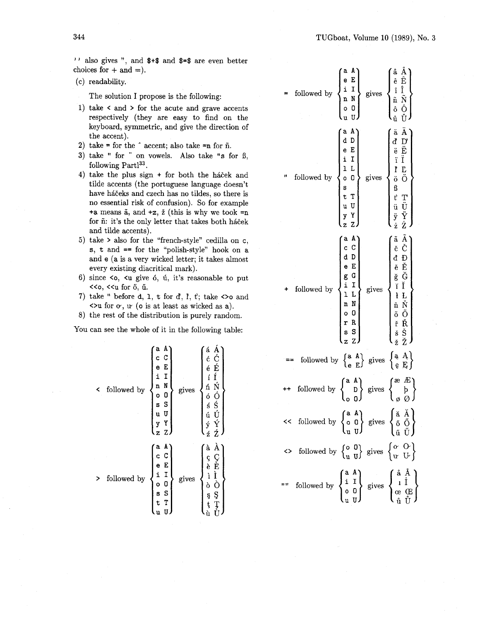$'$  also gives ", and  $*$   $*$  and  $*$  =  $*$  are even better choices for  $+$  and  $=$ ).

(c) readability.

The solution I propose is the following:

- 1) take < and > for the acute and grave accents respectively (they are easy to find on the keyboard, symmetric, and give the direction of the accent).
- 2)  $\text{take} = \text{for the } \hat{ } \text{ accent}$ ; also take  $\text{En}$  for  $\hat{ } \text{n}$ .
- 3) take " for " on vowels. Also take "s for  $\beta$ , following  $Partl<sup>33</sup>$ .
- 4) take the plus sign  $+$  for both the háček and tilde accents (the portuguese language doesn't have háčeks and czech has no tildes, so there is no essential risk of confusion). So for example +a means  $\tilde{a}$ , and  $+z$ ,  $\tilde{z}$  (this is why we took  $=n$ for  $\tilde{n}$ : it's the only letter that takes both háček and tilde accents).
- 5) take > also for the "french-style" cedilla on c, s, t and == for the "polish-style" hook on a and e (a is a very wicked letter; it takes almost every existing diacritical mark).
- 6) since  $\leq 0$ ,  $\leq u$  give 6, ul, it's reasonable to put ((0, <<u for **6,** u. + followed by
- 7) take " before  $d$ ,  $1$ ,  $t$  for  $d$ ,  $P$ ,  $t$ ; take  $\infty$  and  $\leftrightarrow$ u for  $\circ$ ,  $\circ$  ( $\circ$  is at least as wicked as a).
- 8) the rest of the distribution is purely random.

You can see the whole of it in the following table:

| ≺ | followed by | A<br>a<br>C<br>С<br>E<br>е<br>i<br>I<br>N<br>n<br>0<br>o<br>S<br>S<br>U<br>u<br>Y<br>y<br>$\overline{z}$<br>Z | gives | á<br>A Ć É Í<br>ć<br>é<br>í<br>Ń<br>ń<br>ÓŚ<br>ÚÝ<br>$\begin{array}{c} 0 \\ 0 \\ 0 \\ 0 \\ 0 \\ 0 \\ 0 \\ \end{array}$<br>Ź |
|---|-------------|---------------------------------------------------------------------------------------------------------------|-------|-----------------------------------------------------------------------------------------------------------------------------|
|   | followed by | A<br>a<br>C<br>c<br>e<br>E<br>$\mathbf{i}$<br>I<br>o<br>O<br>S<br>S<br>T<br>t<br>u                            | gives | à<br>Ă<br>ÇÈ<br>Ì Ò<br>ç<br>è<br>ì<br>ò<br>Ş<br>ş<br>ţ<br>ţ<br>ù                                                            |

| $\begin{cases}\n\begin{array}{ccc}\n\text{a} & \text{A} \\ \text{e} & \text{E} \\ \text{i} & \text{I} \\ \text{n} & \text{N} \\ \text{o} & \text{O} \\ \text{m}\n\end{array}\n\end{cases} \text{gives}$<br>$\left\{ \begin{matrix} \hat{\mathrm{a}} & \hat{\mathrm{A}} \ \hat{\mathrm{e}} & \hat{\mathrm{E}} \ \hat{\mathrm{i}} & \hat{\mathrm{I}} \ \hat{\mathrm{i}} & \hat{\mathrm{A}} \ \hat{\mathrm{I}} & \hat{\mathrm{A}} \ \hat{\mathrm{I}} & \hat{\mathrm{O}} \ \hat{\mathrm{O}} & \hat{\mathrm{O}} \ \hat{\mathrm{u}} & \hat{\mathrm{U}} \ \hat{\mathrm{u}} & \hat{\mathrm{U}} \ \end{matrix} \right.$<br>$\operatorname{followed}$ by |  |  |  |  |
|------------------------------------------------------------------------------------------------------------------------------------------------------------------------------------------------------------------------------------------------------------------------------------------------------------------------------------------------------------------------------------------------------------------------------------------------------------------------------------------------------------------------------------------------------------------------------------------------------------------------------------------------|--|--|--|--|
| adeilLO<br>eilLO<br>studyzZ,<br>followed by<br>gives                                                                                                                                                                                                                                                                                                                                                                                                                                                                                                                                                                                           |  |  |  |  |
| - えぐひ立ひとんだ しんこう こうかん こうかん こうかん<br>$\begin{array}{c c} \mbox{ \bf a} & \mbox{ \bf A} \\ \mbox{ \bf c} & \mbox{ \bf C} \\ \mbox{ \bf d} & \mbox{ \bf D} \\ \mbox{ \bf e} & \mbox{ \bf g} & \mbox{ \bf G} \\ \mbox{ \bf g} & \mbox{ \bf i} & \mbox{ \bf I} \\ \mbox{ \bf i} & \mbox{ \bf I} & \mbox{ \bf L} \\ \mbox{ \bf n} & \mbox{ \bf N} & \mbox{ \bf O} \\ \mbox{ \bf r} & \mbox{ \bf s} & \mbox{ \bf S} \\ \mbox{ \bf s} & \mbox{ \bf z} & \mbox{$<br>followed by<br>gives                                                                                                                                                                  |  |  |  |  |
| followed by $\begin{Bmatrix} a & A \\ e & E \end{Bmatrix}$ gives $\begin{Bmatrix} a & A \\ e & E \end{Bmatrix}$                                                                                                                                                                                                                                                                                                                                                                                                                                                                                                                                |  |  |  |  |
| $\begin{pmatrix} 1 & 1 \\ 1 & 1 \\ 0 & 1 \end{pmatrix}$<br>followed by $\begin{Bmatrix} a & A \\ D & D \end{Bmatrix}$ gives $\begin{Bmatrix} a & b \\ c & d \end{Bmatrix}$                                                                                                                                                                                                                                                                                                                                                                                                                                                                     |  |  |  |  |
| $<<$ followed by $\begin{Bmatrix} a & A \\ o & 0 \\ n & I \end{Bmatrix}$ gives $\begin{Bmatrix} \check{a} & \check{A} \\ \check{0} & \check{O} \\ \check{a} & \check{I} \end{Bmatrix}$                                                                                                                                                                                                                                                                                                                                                                                                                                                         |  |  |  |  |
| $\leftrightarrow$ followed by $\begin{Bmatrix} 0 & 0 \\ u & u \end{Bmatrix}$ gives $\begin{Bmatrix} 0 & 0 \\ u & u \end{Bmatrix}$                                                                                                                                                                                                                                                                                                                                                                                                                                                                                                              |  |  |  |  |
| "" followed by $\begin{Bmatrix} \frac{a}{i} & \frac{r}{i} \\ 0 & 0 \\ u & 0 \end{Bmatrix}$ gives $\begin{Bmatrix} a & \frac{r}{i} \\ 1 & \frac{r}{i} \\ \frac{r}{i} & \frac{r}{i} \end{Bmatrix}$                                                                                                                                                                                                                                                                                                                                                                                                                                               |  |  |  |  |